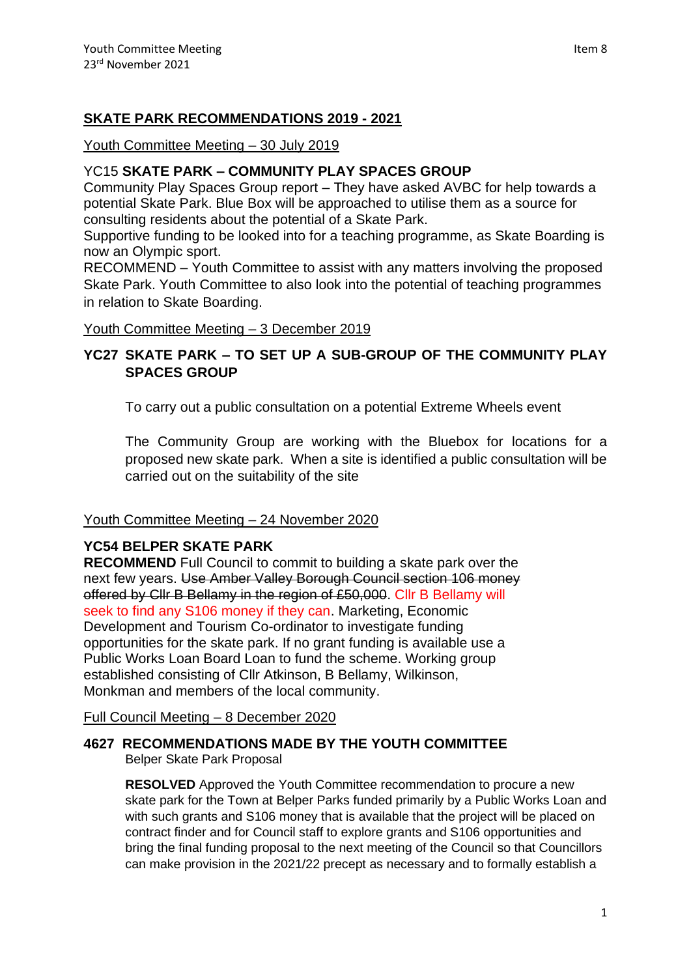### **SKATE PARK RECOMMENDATIONS 2019 - 2021**

### Youth Committee Meeting – 30 July 2019

### YC15 **SKATE PARK – COMMUNITY PLAY SPACES GROUP**

Community Play Spaces Group report – They have asked AVBC for help towards a potential Skate Park. Blue Box will be approached to utilise them as a source for consulting residents about the potential of a Skate Park.

Supportive funding to be looked into for a teaching programme, as Skate Boarding is now an Olympic sport.

RECOMMEND – Youth Committee to assist with any matters involving the proposed Skate Park. Youth Committee to also look into the potential of teaching programmes in relation to Skate Boarding.

Youth Committee Meeting – 3 December 2019

## **YC27 SKATE PARK – TO SET UP A SUB-GROUP OF THE COMMUNITY PLAY SPACES GROUP**

To carry out a public consultation on a potential Extreme Wheels event

The Community Group are working with the Bluebox for locations for a proposed new skate park. When a site is identified a public consultation will be carried out on the suitability of the site

### Youth Committee Meeting – 24 November 2020

### **YC54 BELPER SKATE PARK**

**RECOMMEND** Full Council to commit to building a skate park over the next few years. Use Amber Valley Borough Council section 106 money offered by Cllr B Bellamy in the region of £50,000. Cllr B Bellamy will seek to find any S106 money if they can. Marketing, Economic Development and Tourism Co-ordinator to investigate funding opportunities for the skate park. If no grant funding is available use a Public Works Loan Board Loan to fund the scheme. Working group established consisting of Cllr Atkinson, B Bellamy, Wilkinson, Monkman and members of the local community.

Full Council Meeting – 8 December 2020

# **4627 RECOMMENDATIONS MADE BY THE YOUTH COMMITTEE**

Belper Skate Park Proposal

**RESOLVED** Approved the Youth Committee recommendation to procure a new skate park for the Town at Belper Parks funded primarily by a Public Works Loan and with such grants and S106 money that is available that the project will be placed on contract finder and for Council staff to explore grants and S106 opportunities and bring the final funding proposal to the next meeting of the Council so that Councillors can make provision in the 2021/22 precept as necessary and to formally establish a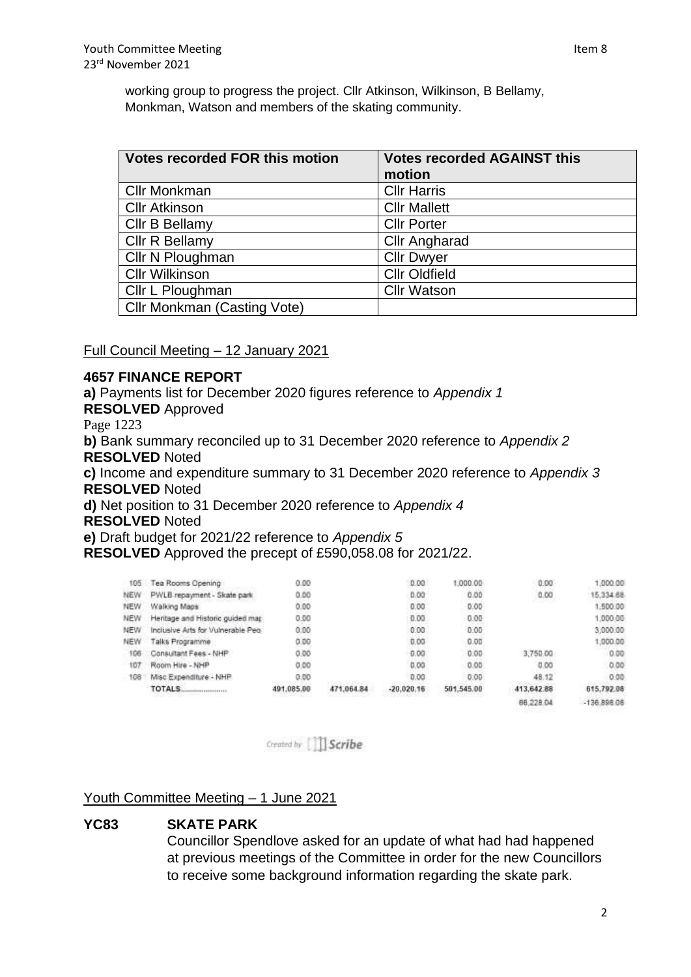working group to progress the project. Cllr Atkinson, Wilkinson, B Bellamy, Monkman, Watson and members of the skating community.

| <b>Votes recorded FOR this motion</b> | <b>Votes recorded AGAINST this</b><br>motion |
|---------------------------------------|----------------------------------------------|
| <b>Cllr Monkman</b>                   | <b>Cllr Harris</b>                           |
| <b>Cllr Atkinson</b>                  | <b>Cllr Mallett</b>                          |
| Cllr B Bellamy                        | <b>Cllr Porter</b>                           |
| Cllr R Bellamy                        | <b>Cllr Angharad</b>                         |
| Cllr N Ploughman                      | <b>Cllr Dwyer</b>                            |
| <b>Cllr Wilkinson</b>                 | <b>Cllr Oldfield</b>                         |
| Cllr L Ploughman                      | <b>Cllr Watson</b>                           |
| <b>Cllr Monkman (Casting Vote)</b>    |                                              |

Full Council Meeting – 12 January 2021

### **4657 FINANCE REPORT**

**a)** Payments list for December 2020 figures reference to *Appendix 1* **RESOLVED** Approved Page 1223 **b)** Bank summary reconciled up to 31 December 2020 reference to *Appendix 2* **RESOLVED** Noted **c)** Income and expenditure summary to 31 December 2020 reference to *Appendix 3* **RESOLVED** Noted **d)** Net position to 31 December 2020 reference to *Appendix 4* **RESOLVED** Noted **e)** Draft budget for 2021/22 reference to *Appendix 5* **RESOLVED** Approved the precept of £590,058.08 for 2021/22.  $\sim$  and **EDDA AB MONEY CONTRACT** 

| 185        | ea Rooms Opening                                     | 0.00       |            | 0.00         | 000.00     | 0.00       | ,000.00       |
|------------|------------------------------------------------------|------------|------------|--------------|------------|------------|---------------|
| NEW        | PWLB repayment - Skate park                          | 0.00       |            | 0.00         | 0.00       | 0.00       | 15.334.68     |
| <b>NEW</b> | Walking Maps                                         | 0.00       |            | 0.00         | 0.00       | きょくだいがく    | 1,500.00      |
| <b>NEW</b> | Heritage and Historic guided mar-                    | 0.00       |            | 0.00         | 0.00       |            | 1.000.00      |
| NEW        | Inclusive Arts for Vulnerable Peo                    | 0.00.      |            | 0.00         | 0.00       |            | 3,000.00      |
| <b>NEW</b> | Talks Programme                                      | 0.00       |            | 0.00         | 0.00       |            | ,000.00       |
| 106        | Consultant Fees - NHP                                | 0.00       |            | $-0.00$      | 0.00       | 3,750.00   | 0.00          |
| 107        | Room Hire - NHP                                      | 0.00       |            | 0.00         | 0.00       | 0.00       | 0.00          |
| 108        | Misc Expenditure - NHP                               | 0.00       |            | 0.00         | 0.00       | 48.12      | 0.00          |
|            | TOTALS.<br><b>CAR &amp; ROOM OF A ROOM OF A FAIL</b> | 491.085.00 | 471,064.84 | $-20.020.16$ | 501,545.00 | 413,642.88 | 615,792.08    |
|            |                                                      |            |            |              |            | 66,228.04  | $-136.898.08$ |

Created by **Scribe** 

### Youth Committee Meeting – 1 June 2021

### **YC83 SKATE PARK**

Councillor Spendlove asked for an update of what had had happened at previous meetings of the Committee in order for the new Councillors to receive some background information regarding the skate park.